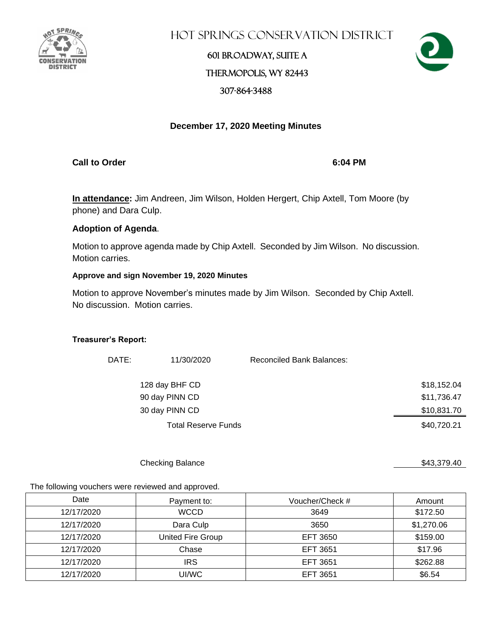

Hot Springs Conservation District

# 601 Broadway, Suite A Thermopolis, WY 82443 307-864-3488



### **December 17, 2020 Meeting Minutes**

**Call to Order 6:04 PM**

**In attendance:** Jim Andreen, Jim Wilson, Holden Hergert, Chip Axtell, Tom Moore (by phone) and Dara Culp.

### **Adoption of Agenda**.

Motion to approve agenda made by Chip Axtell. Seconded by Jim Wilson. No discussion. Motion carries.

### **Approve and sign November 19, 2020 Minutes**

Motion to approve November's minutes made by Jim Wilson. Seconded by Chip Axtell. No discussion. Motion carries.

#### **Treasurer's Report:**

| DATE: | 11/30/2020                 | Reconciled Bank Balances: |             |
|-------|----------------------------|---------------------------|-------------|
|       | 128 day BHF CD             |                           | \$18,152.04 |
|       | 90 day PINN CD             |                           | \$11,736.47 |
|       | 30 day PINN CD             |                           | \$10,831.70 |
|       | <b>Total Reserve Funds</b> |                           | \$40,720.21 |

Checking Balance \$43,379.40

The following vouchers were reviewed and approved.

| Date       | Payment to:       | Voucher/Check # | Amount     |
|------------|-------------------|-----------------|------------|
| 12/17/2020 | <b>WCCD</b>       | 3649            | \$172.50   |
| 12/17/2020 | Dara Culp         | 3650            | \$1,270.06 |
| 12/17/2020 | United Fire Group | EFT 3650        | \$159.00   |
| 12/17/2020 | Chase             | EFT 3651        | \$17.96    |
| 12/17/2020 | <b>IRS</b>        | EFT 3651        | \$262.88   |
| 12/17/2020 | UI/WC             | EFT 3651        | \$6.54     |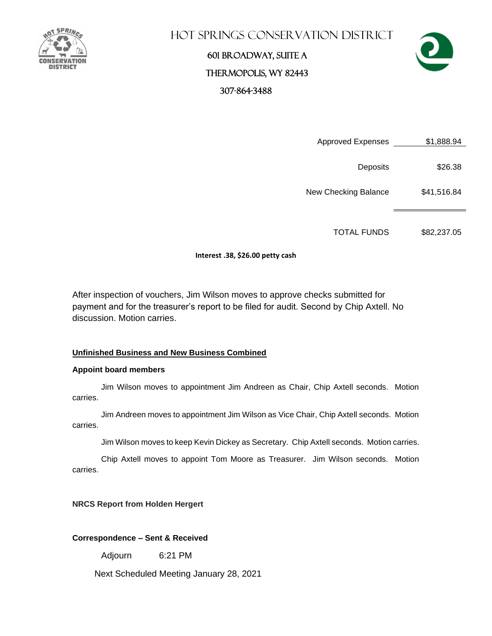

## Hot Springs Conservation District

# 601 Broadway, Suite A Thermopolis, WY 82443 307-864-3488



Approved Expenses \$1,888.94

Deposits \$26.38

New Checking Balance \$41,516.84

TOTAL FUNDS \$82,237.05

#### **Interest .38, \$26.00 petty cash**

After inspection of vouchers, Jim Wilson moves to approve checks submitted for payment and for the treasurer's report to be filed for audit. Second by Chip Axtell. No discussion. Motion carries.

#### **Unfinished Business and New Business Combined**

#### **Appoint board members**

Jim Wilson moves to appointment Jim Andreen as Chair, Chip Axtell seconds. Motion carries.

Jim Andreen moves to appointment Jim Wilson as Vice Chair, Chip Axtell seconds. Motion carries.

Jim Wilson moves to keep Kevin Dickey as Secretary. Chip Axtell seconds. Motion carries.

Chip Axtell moves to appoint Tom Moore as Treasurer. Jim Wilson seconds. Motion carries.

#### **NRCS Report from Holden Hergert**

#### **Correspondence – Sent & Received**

Adjourn 6:21 PM

Next Scheduled Meeting January 28, 2021